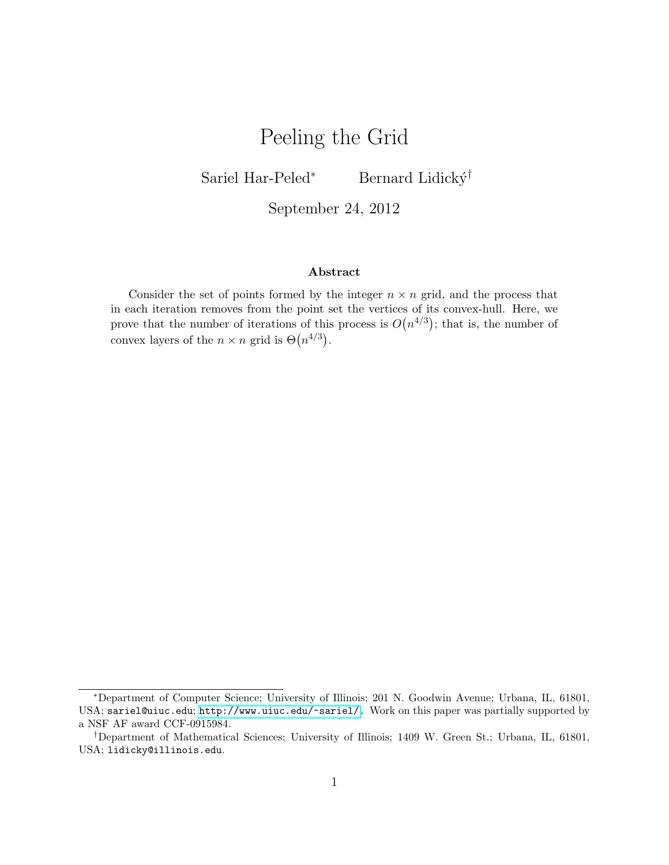# Peeling the Grid

Sariel Har-Peled<sup>∗</sup> Bernard Lidický<sup>†</sup>

September 24, 2012

#### Abstract

Consider the set of points formed by the integer  $n \times n$  grid, and the process that in each iteration removes from the point set the vertices of its convex-hull. Here, we prove that the number of iterations of this process is  $O(n^{4/3})$ ; that is, the number of convex layers of the  $n \times n$  grid is  $\Theta(n^{4/3})$ .

<sup>∗</sup>Department of Computer Science; University of Illinois; 201 N. Goodwin Avenue; Urbana, IL, 61801, USA; sariel@uiuc.edu; [http://www.uiuc.edu/~sariel/.](http://www.uiuc.edu/~sariel/) Work on this paper was partially supported by a NSF AF award CCF-0915984.

<sup>†</sup>Department of Mathematical Sciences; University of Illinois; 1409 W. Green St.; Urbana, IL, 61801, USA; lidicky@illinois.edu.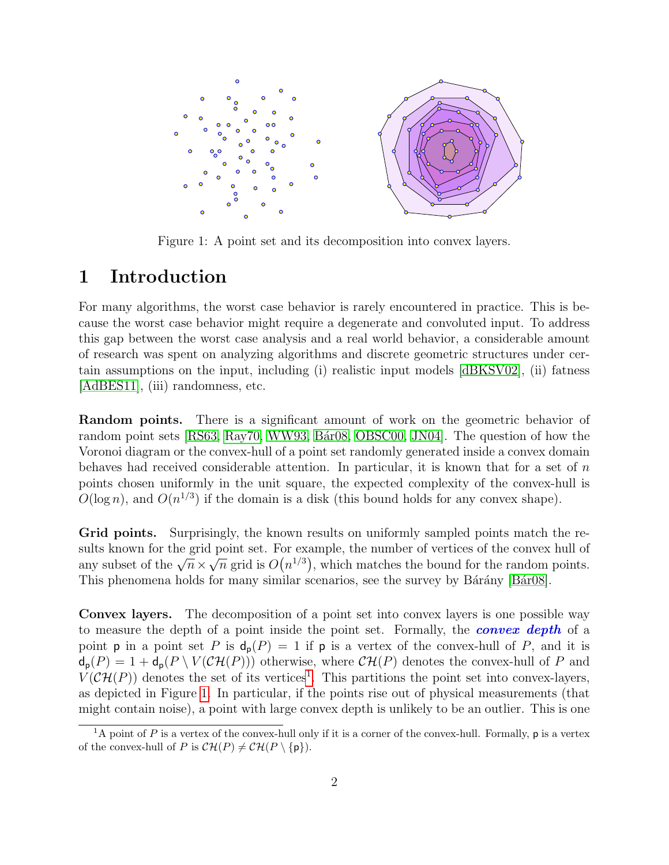

<span id="page-1-1"></span>Figure 1: A point set and its decomposition into convex layers.

# 1 Introduction

For many algorithms, the worst case behavior is rarely encountered in practice. This is because the worst case behavior might require a degenerate and convoluted input. To address this gap between the worst case analysis and a real world behavior, a considerable amount of research was spent on analyzing algorithms and discrete geometric structures under certain assumptions on the input, including (i) realistic input models [\[dBKSV02\]](#page-6-0), (ii) fatness [\[AdBES11\]](#page-6-1), (iii) randomness, etc.

Random points. There is a significant amount of work on the geometric behavior of random point sets [\[RS63,](#page-7-0) [Ray70,](#page-7-1) [WW93,](#page-7-2) Bar08, [OBSC00,](#page-7-3) [JN04\]](#page-7-4). The question of how the Voronoi diagram or the convex-hull of a point set randomly generated inside a convex domain behaves had received considerable attention. In particular, it is known that for a set of  $n$ points chosen uniformly in the unit square, the expected complexity of the convex-hull is  $O(\log n)$ , and  $O(n^{1/3})$  if the domain is a disk (this bound holds for any convex shape).

Grid points. Surprisingly, the known results on uniformly sampled points match the results known for the grid point set. For example, the number of vertices of the convex hull of sures known for the grid point set. For example, the number of vertices of the convex number<br>any subset of the  $\sqrt{n} \times \sqrt{n}$  grid is  $O(n^{1/3})$ , which matches the bound for the random points. This phenomena holds for many similar scenarios, see the survey by Bárány [Bár08].

Convex layers. The decomposition of a point set into convex layers is one possible way to measure the depth of a point inside the point set. Formally, the **convex depth** of a point **p** in a point set P is  $d_p(P) = 1$  if **p** is a vertex of the convex-hull of P, and it is  $d_p(P) = 1 + d_p(P \setminus V(\mathcal{CH}(P)))$  otherwise, where  $\mathcal{CH}(P)$  denotes the convex-hull of P and  $V(\mathcal{CH}(P))$  denotes the set of its vertices<sup>[1](#page-1-0)</sup>. This partitions the point set into convex-layers, as depicted in Figure [1.](#page-1-1) In particular, if the points rise out of physical measurements (that might contain noise), a point with large convex depth is unlikely to be an outlier. This is one

<span id="page-1-0"></span><sup>&</sup>lt;sup>1</sup>A point of P is a vertex of the convex-hull only if it is a corner of the convex-hull. Formally,  $p$  is a vertex of the convex-hull of P is  $\mathcal{CH}(P) \neq \mathcal{CH}(P \setminus \{\mathsf{p}\}).$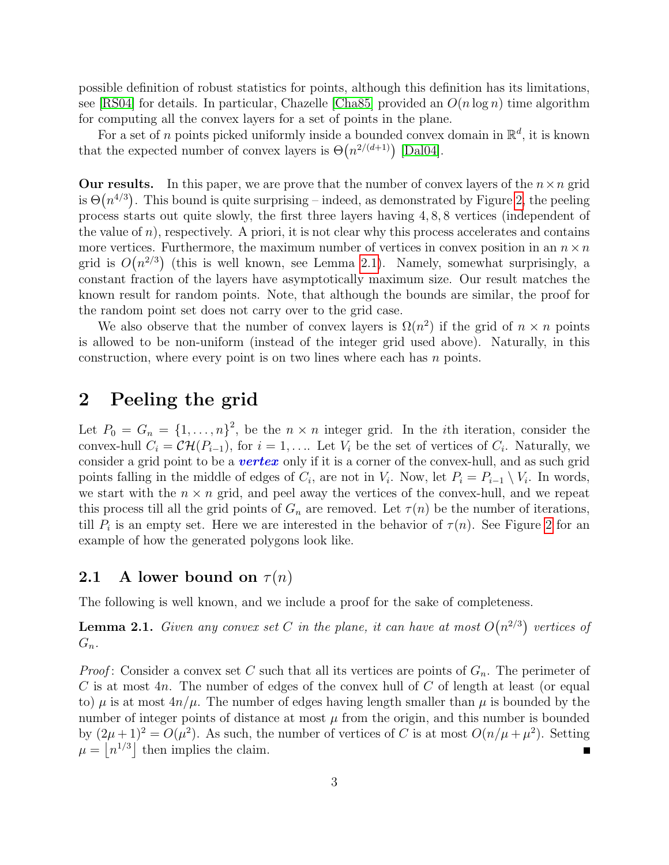possible definition of robust statistics for points, although this definition has its limitations, see [\[RS04\]](#page-7-5) for details. In particular, Chazelle [\[Cha85\]](#page-6-3) provided an  $O(n \log n)$  time algorithm for computing all the convex layers for a set of points in the plane.

For a set of n points picked uniformly inside a bounded convex domain in  $\mathbb{R}^d$ , it is known that the expected number of convex layers is  $\Theta(n^{2/(d+1)})$  [\[Dal04\]](#page-6-4).

**Our results.** In this paper, we are prove that the number of convex layers of the  $n \times n$  grid is  $\Theta(n^{4/3})$ . This bound is quite surprising – indeed, as demonstrated by Figure [2,](#page-3-0) the peeling process starts out quite slowly, the first three layers having 4, 8, 8 vertices (independent of the value of  $n$ ), respectively. A priori, it is not clear why this process accelerates and contains more vertices. Furthermore, the maximum number of vertices in convex position in an  $n \times n$ grid is  $O(n^{2/3})$  (this is well known, see Lemma [2.1\)](#page-2-0). Namely, somewhat surprisingly, a constant fraction of the layers have asymptotically maximum size. Our result matches the known result for random points. Note, that although the bounds are similar, the proof for the random point set does not carry over to the grid case.

We also observe that the number of convex layers is  $\Omega(n^2)$  if the grid of  $n \times n$  points is allowed to be non-uniform (instead of the integer grid used above). Naturally, in this construction, where every point is on two lines where each has n points.

# 2 Peeling the grid

Let  $P_0 = G_n = \{1, \ldots, n\}^2$ , be the  $n \times n$  integer grid. In the *i*th iteration, consider the convex-hull  $C_i = \mathcal{CH}(P_{i-1}),$  for  $i = 1, \ldots$  Let  $V_i$  be the set of vertices of  $C_i$ . Naturally, we consider a grid point to be a **vertex** only if it is a corner of the convex-hull, and as such grid points falling in the middle of edges of  $C_i$ , are not in  $V_i$ . Now, let  $P_i = P_{i-1} \setminus V_i$ . In words, we start with the  $n \times n$  grid, and peel away the vertices of the convex-hull, and we repeat this process till all the grid points of  $G_n$  are removed. Let  $\tau(n)$  be the number of iterations, till  $P_i$  is an empty set. Here we are interested in the behavior of  $\tau(n)$ . See Figure [2](#page-3-0) for an example of how the generated polygons look like.

#### 2.1 A lower bound on  $\tau(n)$

The following is well known, and we include a proof for the sake of completeness.

<span id="page-2-0"></span>**Lemma 2.1.** Given any convex set C in the plane, it can have at most  $O(n^{2/3})$  vertices of  $G_n$ .

*Proof*: Consider a convex set C such that all its vertices are points of  $G_n$ . The perimeter of C is at most  $4n$ . The number of edges of the convex hull of C of length at least (or equal to)  $\mu$  is at most  $4n/\mu$ . The number of edges having length smaller than  $\mu$  is bounded by the number of integer points of distance at most  $\mu$  from the origin, and this number is bounded by  $(2\mu + 1)^2 = O(\mu^2)$ . As such, the number of vertices of C is at most  $O(n/\mu + \mu^2)$ . Setting  $\mu = |n^{1/3}|$  then implies the claim. Е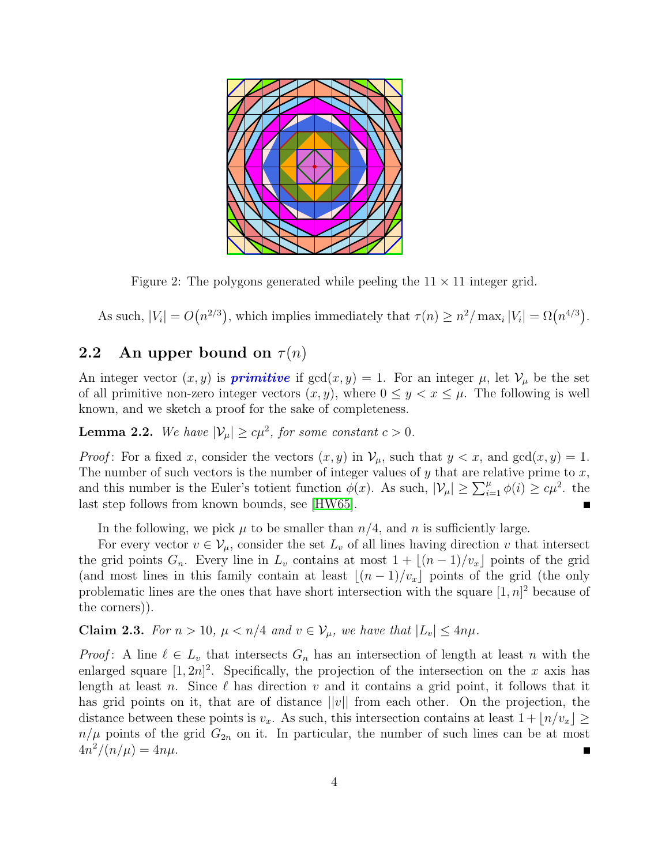

<span id="page-3-0"></span>Figure 2: The polygons generated while peeling the  $11 \times 11$  integer grid.

As such,  $|V_i| = O(n^{2/3})$ , which implies immediately that  $\tau(n) \geq n^2 / \max_i |V_i| = \Omega(n^{4/3})$ .

### **2.2** An upper bound on  $\tau(n)$

An integer vector  $(x, y)$  is **primitive** if  $gcd(x, y) = 1$ . For an integer  $\mu$ , let  $\mathcal{V}_{\mu}$  be the set of all primitive non-zero integer vectors  $(x, y)$ , where  $0 \le y < x \le \mu$ . The following is well known, and we sketch a proof for the sake of completeness.

<span id="page-3-2"></span>**Lemma 2.2.** We have  $|\mathcal{V}_{\mu}| \geq c\mu^2$ , for some constant  $c > 0$ .

*Proof*: For a fixed x, consider the vectors  $(x, y)$  in  $\mathcal{V}_{\mu}$ , such that  $y < x$ , and  $gcd(x, y) = 1$ . The number of such vectors is the number of integer values of  $y$  that are relative prime to  $x$ , and this number is the Euler's totient function  $\phi(x)$ . As such,  $|\mathcal{V}_\mu| \geq \sum_{i=1}^\mu \phi(i) \geq c\mu^2$ . the last step follows from known bounds, see [\[HW65\]](#page-6-5). Г

In the following, we pick  $\mu$  to be smaller than  $n/4$ , and n is sufficiently large.

For every vector  $v \in V_\mu$ , consider the set  $L_v$  of all lines having direction v that intersect the grid points  $G_n$ . Every line in  $L_v$  contains at most  $1 + \lfloor (n-1)/v_x \rfloor$  points of the grid (and most lines in this family contain at least  $|(n - 1)/v_x|$  points of the grid (the only problematic lines are the ones that have short intersection with the square  $[1, n]^2$  because of the corners)).

<span id="page-3-1"></span>Claim 2.3. For  $n > 10$ ,  $\mu < n/4$  and  $v \in V_\mu$ , we have that  $|L_v| \leq 4n\mu$ .

*Proof*: A line  $\ell \in L_v$  that intersects  $G_n$  has an intersection of length at least n with the enlarged square  $[1, 2n]^2$ . Specifically, the projection of the intersection on the x axis has length at least n. Since  $\ell$  has direction v and it contains a grid point, it follows that it has grid points on it, that are of distance  $||v||$  from each other. On the projection, the distance between these points is  $v_x$ . As such, this intersection contains at least  $1 + \lfloor n/v_x \rfloor \ge$  $n/\mu$  points of the grid  $G_{2n}$  on it. In particular, the number of such lines can be at most  $4n^2/(n/\mu) = 4n\mu.$ П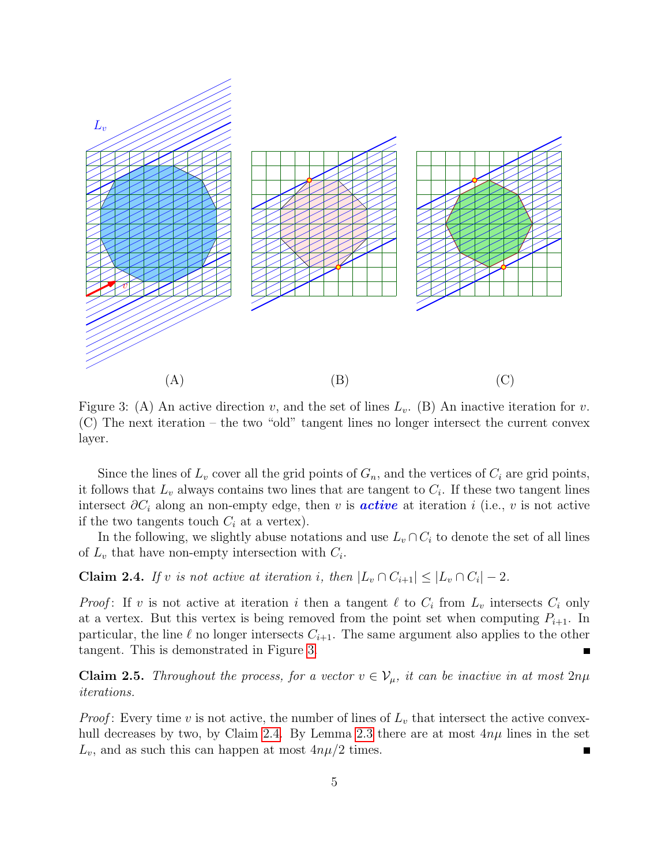

<span id="page-4-0"></span>Figure 3: (A) An active direction v, and the set of lines  $L_v$ . (B) An inactive iteration for v. (C) The next iteration – the two "old" tangent lines no longer intersect the current convex layer.

Since the lines of  $L_v$  cover all the grid points of  $G_n$ , and the vertices of  $C_i$  are grid points, it follows that  $L_v$  always contains two lines that are tangent to  $C_i$ . If these two tangent lines intersect  $\partial C_i$  along an non-empty edge, then v is **active** at iteration i (i.e., v is not active if the two tangents touch  $C_i$  at a vertex).

In the following, we slightly abuse notations and use  $L_v \cap C_i$  to denote the set of all lines of  $L_v$  that have non-empty intersection with  $C_i$ .

<span id="page-4-1"></span>**Claim 2.4.** If v is not active at iteration i, then  $|L_v \cap C_{i+1}| \leq |L_v \cap C_i| - 2$ .

*Proof*: If v is not active at iteration i then a tangent  $\ell$  to  $C_i$  from  $L_v$  intersects  $C_i$  only at a vertex. But this vertex is being removed from the point set when computing  $P_{i+1}$ . In particular, the line  $\ell$  no longer intersects  $C_{i+1}$ . The same argument also applies to the other tangent. This is demonstrated in Figure [3.](#page-4-0)

**Claim 2.5.** Throughout the process, for a vector  $v \in V_\mu$ , it can be inactive in at most  $2n\mu$ iterations.

*Proof*: Every time v is not active, the number of lines of  $L_v$  that intersect the active convex-hull decreases by two, by Claim [2.4.](#page-4-1) By Lemma [2.3](#page-3-1) there are at most  $4n\mu$  lines in the set  $L_v$ , and as such this can happen at most  $4n\mu/2$  times. П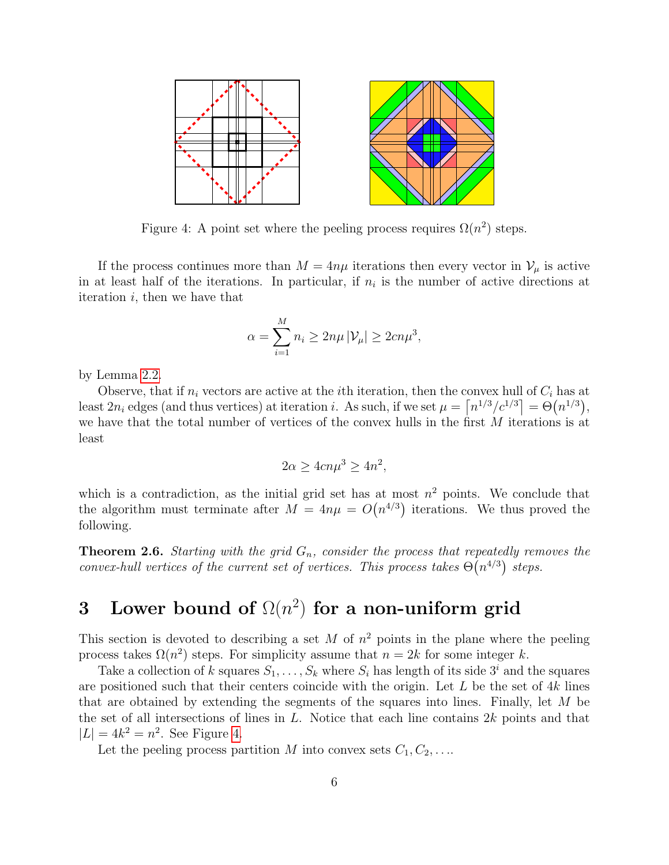

<span id="page-5-0"></span>Figure 4: A point set where the peeling process requires  $\Omega(n^2)$  steps.

If the process continues more than  $M = 4n\mu$  iterations then every vector in  $\mathcal{V}_{\mu}$  is active in at least half of the iterations. In particular, if  $n_i$  is the number of active directions at iteration  $i$ , then we have that

$$
\alpha = \sum_{i=1}^{M} n_i \ge 2n\mu |\mathcal{V}_{\mu}| \ge 2cn\mu^3,
$$

by Lemma [2.2.](#page-3-2)

Observe, that if  $n_i$  vectors are active at the *i*th iteration, then the convex hull of  $C_i$  has at least  $2n_i$  edges (and thus vertices) at iteration *i*. As such, if we set  $\mu = \lceil n^{1/3}/c^{1/3} \rceil = \Theta(n^{1/3}),$ we have that the total number of vertices of the convex hulls in the first M iterations is at least

$$
2\alpha \ge 4cn\mu^3 \ge 4n^2,
$$

which is a contradiction, as the initial grid set has at most  $n^2$  points. We conclude that the algorithm must terminate after  $M = 4n\mu = O(n^{4/3})$  iterations. We thus proved the following.

**Theorem 2.6.** Starting with the grid  $G_n$ , consider the process that repeatedly removes the convex-hull vertices of the current set of vertices. This process takes  $\Theta(n^{4/3})$  steps.

# 3 Lower bound of  $\Omega(n^2)$  for a non-uniform grid

This section is devoted to describing a set M of  $n^2$  points in the plane where the peeling process takes  $\Omega(n^2)$  steps. For simplicity assume that  $n = 2k$  for some integer k.

Take a collection of k squares  $S_1, \ldots, S_k$  where  $S_i$  has length of its side  $3^i$  and the squares are positioned such that their centers coincide with the origin. Let  $L$  be the set of  $4k$  lines that are obtained by extending the segments of the squares into lines. Finally, let M be the set of all intersections of lines in  $L$ . Notice that each line contains  $2k$  points and that  $|L| = 4k^2 = n^2$ . See Figure [4.](#page-5-0)

Let the peeling process partition M into convex sets  $C_1, C_2, \ldots$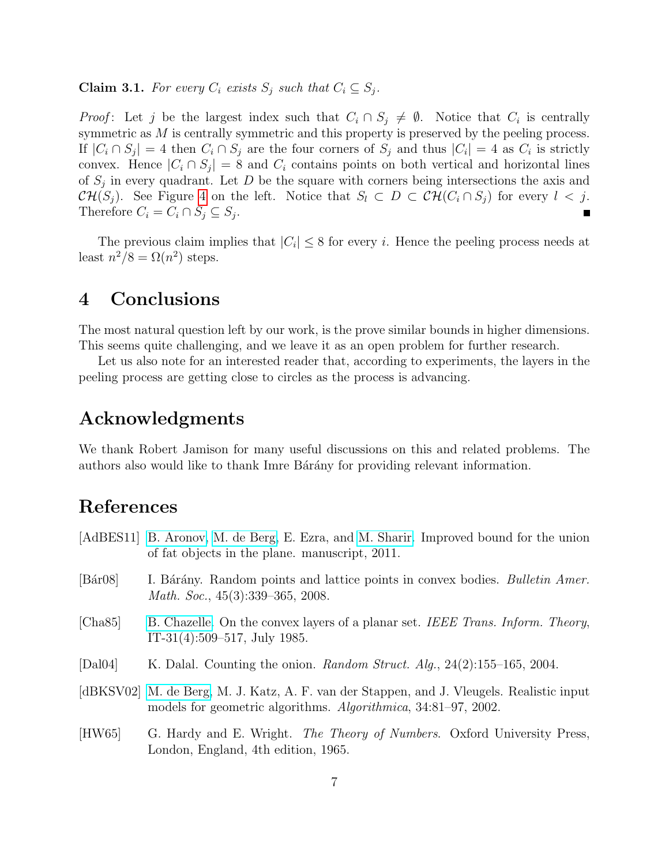**Claim 3.1.** For every  $C_i$  exists  $S_j$  such that  $C_i \subseteq S_j$ .

*Proof*: Let j be the largest index such that  $C_i \cap S_j \neq \emptyset$ . Notice that  $C_i$  is centrally symmetric as M is centrally symmetric and this property is preserved by the peeling process. If  $|C_i \cap S_j| = 4$  then  $C_i \cap S_j$  are the four corners of  $S_j$  and thus  $|C_i| = 4$  as  $C_i$  is strictly convex. Hence  $|C_i \cap S_j| = 8$  and  $C_i$  contains points on both vertical and horizontal lines of  $S_j$  in every quadrant. Let D be the square with corners being intersections the axis and  $CH(S_j)$ . See Figure [4](#page-5-0) on the left. Notice that  $S_l \subset D \subset CH(C_i \cap S_j)$  for every  $l < j$ . Therefore  $C_i = C_i \cap S_j \subseteq S_j$ . П

The previous claim implies that  $|C_i| \leq 8$  for every i. Hence the peeling process needs at least  $n^2/8 = \Omega(n^2)$  steps.

### 4 Conclusions

The most natural question left by our work, is the prove similar bounds in higher dimensions. This seems quite challenging, and we leave it as an open problem for further research.

Let us also note for an interested reader that, according to experiments, the layers in the peeling process are getting close to circles as the process is advancing.

## Acknowledgments

We thank Robert Jamison for many useful discussions on this and related problems. The authors also would like to thank Imre Barany for providing relevant information.

# References

- <span id="page-6-1"></span>[AdBES11] [B. Aronov,](http://cis.poly.edu/~aronov/) [M. de Berg,](http://www.win.tue.nl/~mdberg/) E. Ezra, and [M. Sharir.](http://www.math.tau.ac.il/~michas) Improved bound for the union of fat objects in the plane. manuscript, 2011.
- <span id="page-6-2"></span>[Bár08] I. Bárány. Random points and lattice points in convex bodies. Bulletin Amer. Math. Soc., 45(3):339–365, 2008.
- <span id="page-6-3"></span>[Cha85] [B. Chazelle.](http://www.cs.princeton.edu/~chazelle/) On the convex layers of a planar set. IEEE Trans. Inform. Theory, IT-31(4):509–517, July 1985.
- <span id="page-6-4"></span>[Dal04] K. Dalal. Counting the onion. Random Struct. Alg., 24(2):155–165, 2004.
- <span id="page-6-0"></span>[dBKSV02] [M. de Berg,](http://www.win.tue.nl/~mdberg/) M. J. Katz, A. F. van der Stappen, and J. Vleugels. Realistic input models for geometric algorithms. Algorithmica, 34:81–97, 2002.
- <span id="page-6-5"></span>[HW65] G. Hardy and E. Wright. *The Theory of Numbers*. Oxford University Press, London, England, 4th edition, 1965.